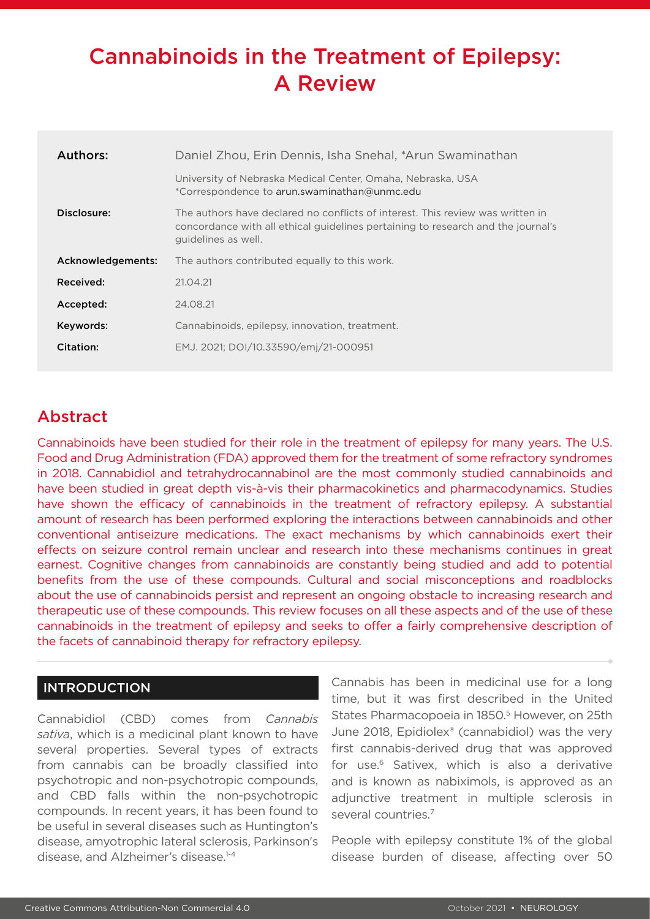# Cannabinoids in the Treatment of Epilepsy: A Review

| Authors:          | Daniel Zhou, Erin Dennis, Isha Snehal, *Arun Swaminathan                                                                                                                                  |  |  |  |  |  |
|-------------------|-------------------------------------------------------------------------------------------------------------------------------------------------------------------------------------------|--|--|--|--|--|
|                   | University of Nebraska Medical Center, Omaha, Nebraska, USA<br>*Correspondence to arun.swaminathan@unmc.edu                                                                               |  |  |  |  |  |
| Disclosure:       | The authors have declared no conflicts of interest. This review was written in<br>concordance with all ethical guidelines pertaining to research and the journal's<br>quidelines as well. |  |  |  |  |  |
| Acknowledgements: | The authors contributed equally to this work.                                                                                                                                             |  |  |  |  |  |
| Received:         | 21.04.21                                                                                                                                                                                  |  |  |  |  |  |
| Accepted:         | 24.08.21                                                                                                                                                                                  |  |  |  |  |  |
| Keywords:         | Cannabinoids, epilepsy, innovation, treatment.                                                                                                                                            |  |  |  |  |  |
| Citation:         | EMJ. 2021; DOI/10.33590/emj/21-000951                                                                                                                                                     |  |  |  |  |  |
|                   |                                                                                                                                                                                           |  |  |  |  |  |

# Abstract

Cannabinoids have been studied for their role in the treatment of epilepsy for many years. The U.S. Food and Drug Administration (FDA) approved them for the treatment of some refractory syndromes in 2018. Cannabidiol and tetrahydrocannabinol are the most commonly studied cannabinoids and have been studied in great depth vis-à-vis their pharmacokinetics and pharmacodynamics. Studies have shown the efficacy of cannabinoids in the treatment of refractory epilepsy. A substantial amount of research has been performed exploring the interactions between cannabinoids and other conventional antiseizure medications. The exact mechanisms by which cannabinoids exert their effects on seizure control remain unclear and research into these mechanisms continues in great earnest. Cognitive changes from cannabinoids are constantly being studied and add to potential benefits from the use of these compounds. Cultural and social misconceptions and roadblocks about the use of cannabinoids persist and represent an ongoing obstacle to increasing research and therapeutic use of these compounds. This review focuses on all these aspects and of the use of these cannabinoids in the treatment of epilepsy and seeks to offer a fairly comprehensive description of the facets of cannabinoid therapy for refractory epilepsy.

## **INTRODUCTION**

Cannabidiol (CBD) comes from *Cannabis sativa*, which is a medicinal plant known to have several properties. Several types of extracts from cannabis can be broadly classified into psychotropic and non-psychotropic compounds, and CBD falls within the non-psychotropic compounds. In recent years, it has been found to be useful in several diseases such as Huntington's disease, amyotrophic lateral sclerosis, Parkinson's disease, and Alzheimer's disease.1-4

Cannabis has been in medicinal use for a long time, but it was first described in the United States Pharmacopoeia in 1850.<sup>5</sup> However, on 25th June 2018, Epidiolex® (cannabidiol) was the very first cannabis-derived drug that was approved for use.6 Sativex, which is also a derivative and is known as nabiximols, is approved as an adjunctive treatment in multiple sclerosis in several countries.<sup>7</sup>

People with epilepsy constitute 1% of the global disease burden of disease, affecting over 50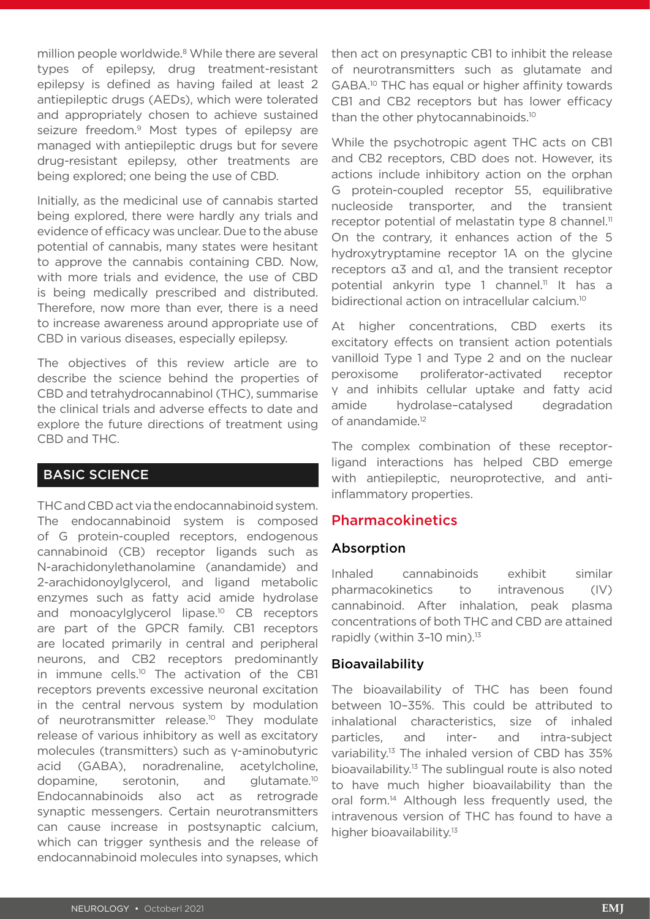million people worldwide.<sup>8</sup> While there are several types of epilepsy, drug treatment-resistant epilepsy is defined as having failed at least 2 antiepileptic drugs (AEDs), which were tolerated and appropriately chosen to achieve sustained seizure freedom.<sup>9</sup> Most types of epilepsy are managed with antiepileptic drugs but for severe drug-resistant epilepsy, other treatments are being explored; one being the use of CBD.

Initially, as the medicinal use of cannabis started being explored, there were hardly any trials and evidence of efficacy was unclear. Due to the abuse potential of cannabis, many states were hesitant to approve the cannabis containing CBD. Now, with more trials and evidence, the use of CBD is being medically prescribed and distributed. Therefore, now more than ever, there is a need to increase awareness around appropriate use of CBD in various diseases, especially epilepsy.

The objectives of this review article are to describe the science behind the properties of CBD and tetrahydrocannabinol (THC), summarise the clinical trials and adverse effects to date and explore the future directions of treatment using CBD and THC.

## BASIC SCIENCE

THC and CBD act via the endocannabinoid system. The endocannabinoid system is composed of G protein-coupled receptors, endogenous cannabinoid (CB) receptor ligands such as N-arachidonylethanolamine (anandamide) and 2-arachidonoylglycerol, and ligand metabolic enzymes such as fatty acid amide hydrolase and monoacylglycerol lipase.<sup>10</sup> CB receptors are part of the GPCR family. CB1 receptors are located primarily in central and peripheral neurons, and CB2 receptors predominantly in immune cells.<sup>10</sup> The activation of the CB1 receptors prevents excessive neuronal excitation in the central nervous system by modulation of neurotransmitter release.<sup>10</sup> They modulate release of various inhibitory as well as excitatory molecules (transmitters) such as γ-aminobutyric acid (GABA), noradrenaline, acetylcholine, dopamine, serotonin, and glutamate.10 Endocannabinoids also act as retrograde synaptic messengers. Certain neurotransmitters can cause increase in postsynaptic calcium, which can trigger synthesis and the release of endocannabinoid molecules into synapses, which

then act on presynaptic CB1 to inhibit the release of neurotransmitters such as glutamate and GABA.10 THC has equal or higher affinity towards CB1 and CB2 receptors but has lower efficacy than the other phytocannabinoids.<sup>10</sup>

While the psychotropic agent THC acts on CB1 and CB2 receptors, CBD does not. However, its actions include inhibitory action on the orphan G protein-coupled receptor 55, equilibrative nucleoside transporter, and the transient receptor potential of melastatin type 8 channel.<sup>11</sup> On the contrary, it enhances action of the 5 hydroxytryptamine receptor 1A on the glycine receptors α3 and α1, and the transient receptor potential ankyrin type 1 channel.<sup>11</sup> It has a bidirectional action on intracellular calcium.<sup>10</sup>

At higher concentrations, CBD exerts its excitatory effects on transient action potentials vanilloid Type 1 and Type 2 and on the nuclear peroxisome proliferator-activated receptor γ and inhibits cellular uptake and fatty acid amide hydrolase–catalysed degradation of anandamide.<sup>12</sup>

The complex combination of these receptorligand interactions has helped CBD emerge with antiepileptic, neuroprotective, and antiinflammatory properties.

## Pharmacokinetics

## Absorption

Inhaled cannabinoids exhibit similar pharmacokinetics to intravenous (IV) cannabinoid. After inhalation, peak plasma concentrations of both THC and CBD are attained rapidly (within 3-10 min).<sup>13</sup>

## Bioavailability

The bioavailability of THC has been found between 10–35%. This could be attributed to inhalational characteristics, size of inhaled particles, and inter- and intra-subject variability.13 The inhaled version of CBD has 35% bioavailability.<sup>13</sup> The sublingual route is also noted to have much higher bioavailability than the oral form.14 Although less frequently used, the intravenous version of THC has found to have a higher bioavailability.<sup>13</sup>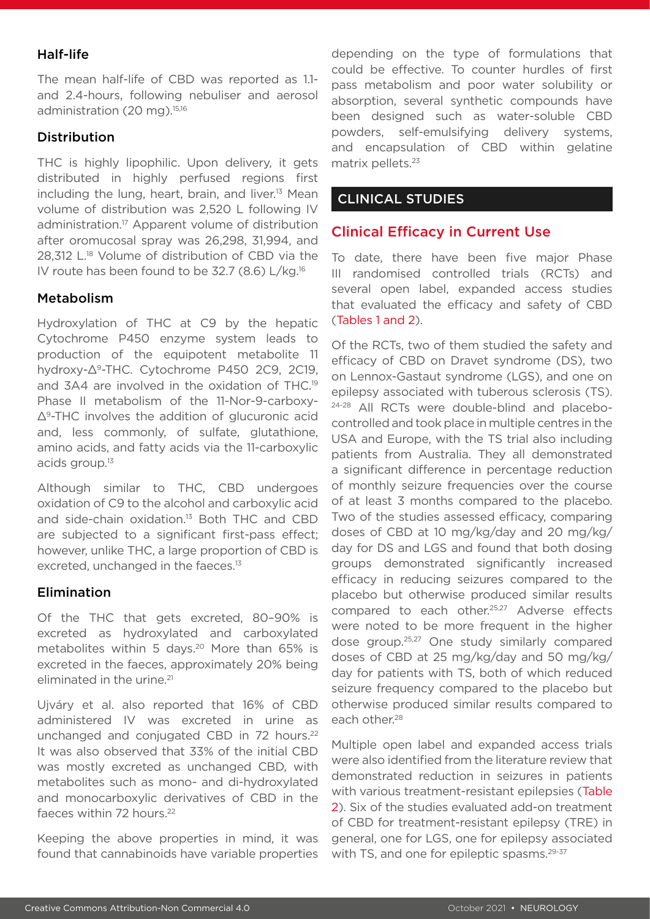## Half-life

The mean half-life of CBD was reported as 1.1 and 2.4-hours, following nebuliser and aerosol administration (20 mg).<sup>15,16</sup>

#### Distribution

THC is highly lipophilic. Upon delivery, it gets distributed in highly perfused regions first including the lung, heart, brain, and liver.<sup>13</sup> Mean volume of distribution was 2,520 L following IV administration.<sup>17</sup> Apparent volume of distribution after oromucosal spray was 26,298, 31,994, and 28,312 L.18 Volume of distribution of CBD via the IV route has been found to be 32.7 (8.6) L/kg.16

#### Metabolism

Hydroxylation of THC at C9 by the hepatic Cytochrome P450 enzyme system leads to production of the equipotent metabolite 11 hydroxy-Δ9-THC. Cytochrome P450 2C9, 2C19, and 3A4 are involved in the oxidation of THC.19 Phase II metabolism of the 11-Nor-9-carboxy-Δ9-THC involves the addition of glucuronic acid and, less commonly, of sulfate, glutathione, amino acids, and fatty acids via the 11-carboxylic acids group.13

Although similar to THC, CBD undergoes oxidation of C9 to the alcohol and carboxylic acid and side-chain oxidation.13 Both THC and CBD are subjected to a significant first-pass effect; however, unlike THC, a large proportion of CBD is excreted, unchanged in the faeces.<sup>13</sup>

#### Elimination

Of the THC that gets excreted, 80–90% is excreted as hydroxylated and carboxylated metabolites within 5 days.<sup>20</sup> More than 65% is excreted in the faeces, approximately 20% being eliminated in the urine.<sup>21</sup>

Ujváry et al. also reported that 16% of CBD administered IV was excreted in urine as unchanged and conjugated CBD in 72 hours.<sup>22</sup> It was also observed that 33% of the initial CBD was mostly excreted as unchanged CBD, with metabolites such as mono- and di-hydroxylated and monocarboxylic derivatives of CBD in the faeces within 72 hours.<sup>22</sup>

Keeping the above properties in mind, it was found that cannabinoids have variable properties depending on the type of formulations that could be effective. To counter hurdles of first pass metabolism and poor water solubility or absorption, several synthetic compounds have been designed such as water-soluble CBD powders, self-emulsifying delivery systems, and encapsulation of CBD within gelatine matrix pellets.<sup>23</sup>

## CLINICAL STUDIES

## Clinical Efficacy in Current Use

To date, there have been five major Phase III randomised controlled trials (RCTs) and several open label, expanded access studies that evaluated the efficacy and safety of CBD (Tables 1 and 2).

Of the RCTs, two of them studied the safety and efficacy of CBD on Dravet syndrome (DS), two on Lennox-Gastaut syndrome (LGS), and one on epilepsy associated with tuberous sclerosis (TS). 24-28 All RCTs were double-blind and placebocontrolled and took place in multiple centres in the USA and Europe, with the TS trial also including patients from Australia. They all demonstrated a significant difference in percentage reduction of monthly seizure frequencies over the course of at least 3 months compared to the placebo. Two of the studies assessed efficacy, comparing doses of CBD at 10 mg/kg/day and 20 mg/kg/ day for DS and LGS and found that both dosing groups demonstrated significantly increased efficacy in reducing seizures compared to the placebo but otherwise produced similar results compared to each other.25,27 Adverse effects were noted to be more frequent in the higher dose group.25,27 One study similarly compared doses of CBD at 25 mg/kg/day and 50 mg/kg/ day for patients with TS, both of which reduced seizure frequency compared to the placebo but otherwise produced similar results compared to each other.<sup>28</sup>

Multiple open label and expanded access trials were also identified from the literature review that demonstrated reduction in seizures in patients with various treatment-resistant epilepsies (Table 2). Six of the studies evaluated add-on treatment of CBD for treatment-resistant epilepsy (TRE) in general, one for LGS, one for epilepsy associated with TS, and one for epileptic spasms.<sup>29-37</sup>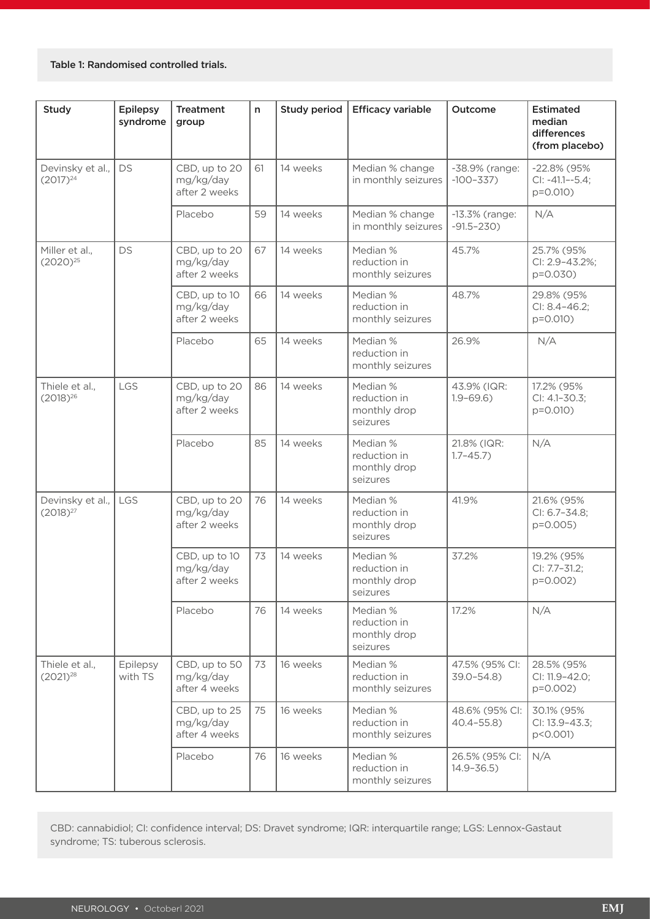#### Table 1: Randomised controlled trials.

| <b>Study</b>                                   | <b>Epilepsy</b><br>syndrome | <b>Treatment</b><br>group                   | n  | <b>Study period</b> | <b>Efficacy variable</b>                                                            | Outcome                           | <b>Estimated</b><br>median<br>differences<br>(from placebo) |
|------------------------------------------------|-----------------------------|---------------------------------------------|----|---------------------|-------------------------------------------------------------------------------------|-----------------------------------|-------------------------------------------------------------|
| <b>DS</b><br>Devinsky et al.,<br>$(2017)^{24}$ |                             | CBD, up to 20<br>mg/kg/day<br>after 2 weeks | 61 | 14 weeks            | Median % change<br>in monthly seizures                                              | -38.9% (range:<br>$-100-337$      | $-22.8\%$ (95%<br>$Cl: -41.1 - -5.4;$<br>$p=0.010$ )        |
|                                                |                             | Placebo                                     | 59 | 14 weeks            | Median % change<br>in monthly seizures                                              | $-13.3%$ (range:<br>$-91.5 - 230$ | N/A                                                         |
| Miller et al.,<br>$(2020)^{25}$                | <b>DS</b>                   | CBD, up to 20<br>mg/kg/day<br>after 2 weeks | 67 | 14 weeks            | Median %<br>reduction in<br>monthly seizures                                        |                                   | 25.7% (95%<br>CI: 2.9-43.2%;<br>$p = 0.030$                 |
|                                                |                             | CBD, up to 10<br>mg/kg/day<br>after 2 weeks | 66 | 14 weeks            | Median %<br>reduction in<br>monthly seizures                                        | 48.7%                             | 29.8% (95%<br>CI: 8.4-46.2;<br>$p=0.010$ )                  |
|                                                |                             | Placebo                                     | 65 | 14 weeks            | Median %<br>reduction in<br>monthly seizures                                        | 26.9%                             | N/A                                                         |
| Thiele et al.,<br>$(2018)^{26}$                | LGS                         | CBD, up to 20<br>mg/kg/day<br>after 2 weeks | 86 | 14 weeks            | Median %<br>43.9% (IQR:<br>reduction in<br>$1.9 - 69.6$<br>monthly drop<br>seizures |                                   | 17.2% (95%<br>CI: 4.1-30.3;<br>$p = 0.010$                  |
|                                                |                             | Placebo                                     | 85 | 14 weeks            | Median %<br>reduction in<br>monthly drop<br>seizures                                | 21.8% (IQR:<br>$1.7 - 45.7$       | N/A                                                         |
| LGS<br>Devinsky et al.,<br>$(2018)^{27}$       |                             | CBD, up to 20<br>mg/kg/day<br>after 2 weeks | 76 | 14 weeks            | Median %<br>reduction in<br>monthly drop<br>seizures                                | 41.9%                             | 21.6% (95%<br>CI: 6.7-34.8;<br>$p = 0.005$                  |
|                                                |                             | CBD, up to 10<br>mg/kg/day<br>after 2 weeks | 73 | 14 weeks            | Median %<br>37.2%<br>reduction in<br>monthly drop<br>seizures                       |                                   | 19.2% (95%<br>CI: 7.7-31.2;<br>p=0.002)                     |
|                                                |                             | Placebo                                     | 76 | 14 weeks            | Median %<br>reduction in<br>monthly drop<br>seizures                                | 17.2%                             | N/A                                                         |
| Thiele et al.,<br>$(2021)^{28}$                | Epilepsy<br>with TS         | CBD, up to 50<br>mg/kg/day<br>after 4 weeks | 73 | 16 weeks            | Median %<br>reduction in<br>monthly seizures                                        | 47.5% (95% Cl:<br>$39.0 - 54.8$   | 28.5% (95%<br>CI: 11.9-42.0;<br>$p=0.002$                   |
|                                                |                             | CBD, up to 25<br>mg/kg/day<br>after 4 weeks | 75 | 16 weeks            | Median %<br>48.6% (95% CI:<br>reduction in<br>$40.4 - 55.8$<br>monthly seizures     |                                   | 30.1% (95%<br>CI: 13.9-43.3;<br>p<0.001)                    |
|                                                |                             | Placebo                                     | 76 | 16 weeks            | Median %<br>reduction in<br>monthly seizures                                        | 26.5% (95% CI:<br>$14.9 - 36.5$   | N/A                                                         |

CBD: cannabidiol; CI: confidence interval; DS: Dravet syndrome; IQR: interquartile range; LGS: Lennox-Gastaut syndrome; TS: tuberous sclerosis.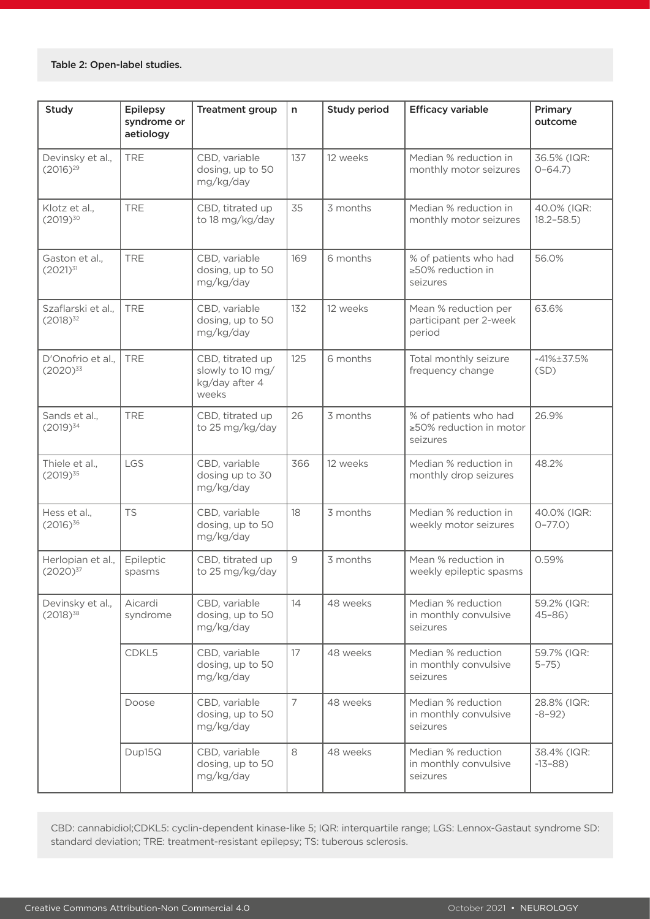| Study                               | <b>Epilepsy</b><br>syndrome or<br>aetiology | <b>Treatment group</b>                                          | n              | Study period | <b>Efficacy variable</b>                                     | Primary<br>outcome           |
|-------------------------------------|---------------------------------------------|-----------------------------------------------------------------|----------------|--------------|--------------------------------------------------------------|------------------------------|
| Devinsky et al.,<br>$(2016)^{29}$   | <b>TRE</b>                                  | CBD, variable<br>dosing, up to 50<br>mg/kg/day                  | 137            | 12 weeks     | Median % reduction in<br>monthly motor seizures              | 36.5% (IQR:<br>$0 - 64.7$    |
| Klotz et al.,<br>$(2019)^{30}$      | <b>TRE</b>                                  | CBD, titrated up<br>to 18 mg/kg/day                             | 35             | 3 months     | Median % reduction in<br>monthly motor seizures              | 40.0% (IQR:<br>$18.2 - 58.5$ |
| Gaston et al.,<br>$(2021)^{31}$     | <b>TRE</b>                                  | CBD, variable<br>dosing, up to 50<br>mg/kg/day                  | 169            | 6 months     | % of patients who had<br>$\geq$ 50% reduction in<br>seizures | 56.0%                        |
| Szaflarski et al.,<br>$(2018)^{32}$ | <b>TRE</b>                                  | CBD, variable<br>dosing, up to 50<br>mg/kg/day                  | 132            | 12 weeks     | Mean % reduction per<br>participant per 2-week<br>period     | 63.6%                        |
| D'Onofrio et al.,<br>$(2020)^{33}$  | <b>TRE</b>                                  | CBD, titrated up<br>slowly to 10 mg/<br>kg/day after 4<br>weeks | 125            | 6 months     | Total monthly seizure<br>frequency change                    | $-41\% \pm 37.5\%$<br>(SD)   |
| Sands et al.,<br>$(2019)^{34}$      | <b>TRE</b>                                  | CBD, titrated up<br>to 25 mg/kg/day                             | 26             | 3 months     | % of patients who had<br>≥50% reduction in motor<br>seizures | 26.9%                        |
| Thiele et al.,<br>$(2019)^{35}$     | LGS                                         | CBD, variable<br>dosing up to 30<br>mg/kg/day                   | 366            | 12 weeks     | Median % reduction in<br>monthly drop seizures               | 48.2%                        |
| Hess et al.,<br>$(2016)^{36}$       | <b>TS</b>                                   | CBD, variable<br>dosing, up to 50<br>mg/kg/day                  | 18             | 3 months     | Median % reduction in<br>weekly motor seizures               | 40.0% (IQR:<br>$0 - 77.0$    |
| Herlopian et al.,<br>$(2020)^{37}$  | Epileptic<br>spasms                         | CBD, titrated up<br>to 25 mg/kg/day                             | $\overline{9}$ | 3 months     | Mean % reduction in<br>weekly epileptic spasms               | 0.59%                        |
| Devinsky et al.,<br>$(2018)^{38}$   | Aicardi<br>syndrome                         | CBD, variable<br>dosing, up to 50<br>mg/kg/day                  | 14             | 48 weeks     | Median % reduction<br>in monthly convulsive<br>seizures      | 59.2% (IQR:<br>$45 - 86$     |
|                                     | CDKL5                                       | CBD, variable<br>dosing, up to 50<br>mg/kg/day                  | 17             | 48 weeks     | Median % reduction<br>in monthly convulsive<br>seizures      | 59.7% (IQR:<br>$5 - 75$      |
|                                     | Doose                                       | CBD, variable<br>dosing, up to 50<br>mg/kg/day                  | $\overline{7}$ | 48 weeks     | Median % reduction<br>in monthly convulsive<br>seizures      | 28.8% (IQR:<br>$-8-92)$      |
|                                     | Dup15Q                                      | CBD, variable<br>dosing, up to 50<br>mg/kg/day                  | 8              | 48 weeks     | Median % reduction<br>in monthly convulsive<br>seizures      | 38.4% (IQR:<br>$-13-88$      |

CBD: cannabidiol;CDKL5: cyclin-dependent kinase-like 5; IQR: interquartile range; LGS: Lennox-Gastaut syndrome SD: standard deviation; TRE: treatment-resistant epilepsy; TS: tuberous sclerosis.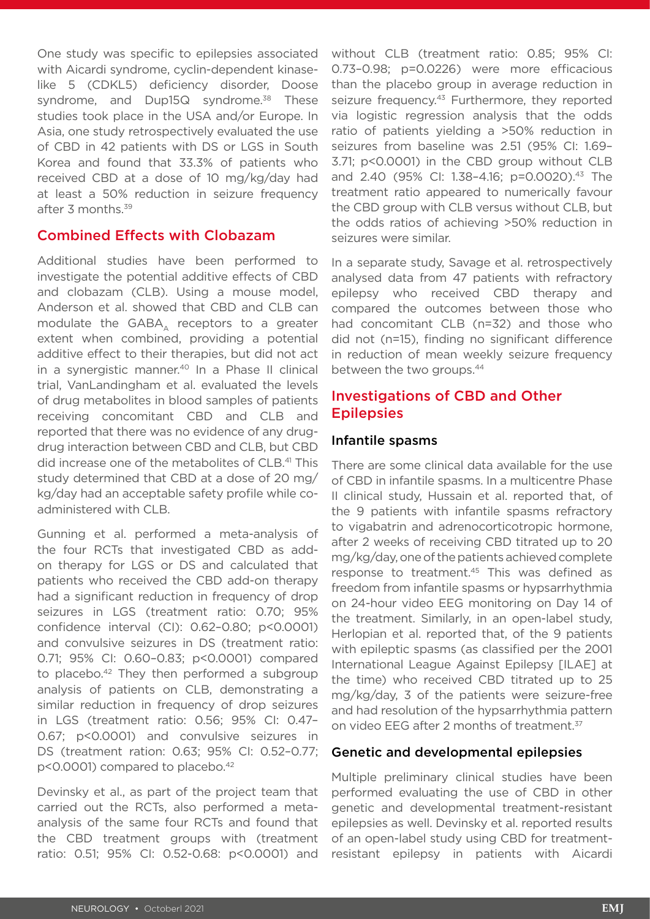One study was specific to epilepsies associated with Aicardi syndrome, cyclin-dependent kinaselike 5 (CDKL5) deficiency disorder, Doose syndrome, and Dup15Q syndrome.<sup>38</sup> These studies took place in the USA and/or Europe. In Asia, one study retrospectively evaluated the use of CBD in 42 patients with DS or LGS in South Korea and found that 33.3% of patients who received CBD at a dose of 10 mg/kg/day had at least a 50% reduction in seizure frequency after 3 months.<sup>39</sup>

#### Combined Effects with Clobazam

Additional studies have been performed to investigate the potential additive effects of CBD and clobazam (CLB). Using a mouse model, Anderson et al. showed that CBD and CLB can modulate the  $GABA_\Lambda$  receptors to a greater extent when combined, providing a potential additive effect to their therapies, but did not act in a synergistic manner.<sup>40</sup> In a Phase II clinical trial, VanLandingham et al. evaluated the levels of drug metabolites in blood samples of patients receiving concomitant CBD and CLB and reported that there was no evidence of any drugdrug interaction between CBD and CLB, but CBD did increase one of the metabolites of CLB.41 This study determined that CBD at a dose of 20 mg/ kg/day had an acceptable safety profile while coadministered with CLB.

Gunning et al. performed a meta-analysis of the four RCTs that investigated CBD as addon therapy for LGS or DS and calculated that patients who received the CBD add-on therapy had a significant reduction in frequency of drop seizures in LGS (treatment ratio: 0.70; 95% confidence interval (CI): 0.62–0.80; p<0.0001) and convulsive seizures in DS (treatment ratio: 0.71; 95% CI: 0.60–0.83; p<0.0001) compared to placebo.<sup>42</sup> They then performed a subgroup analysis of patients on CLB, demonstrating a similar reduction in frequency of drop seizures in LGS (treatment ratio: 0.56; 95% CI: 0.47– 0.67; p<0.0001) and convulsive seizures in DS (treatment ration: 0.63; 95% CI: 0.52–0.77; p<0.0001) compared to placebo.42

Devinsky et al., as part of the project team that carried out the RCTs, also performed a metaanalysis of the same four RCTs and found that the CBD treatment groups with (treatment ratio: 0.51; 95% CI: 0.52-0.68: p<0.0001) and

without CLB (treatment ratio: 0.85; 95% CI: 0.73–0.98; p=0.0226) were more efficacious than the placebo group in average reduction in seizure frequency.<sup>43</sup> Furthermore, they reported via logistic regression analysis that the odds ratio of patients yielding a >50% reduction in seizures from baseline was 2.51 (95% CI: 1.69– 3.71; p<0.0001) in the CBD group without CLB and 2.40 (95% CI: 1.38-4.16; p=0.0020).<sup>43</sup> The treatment ratio appeared to numerically favour the CBD group with CLB versus without CLB, but the odds ratios of achieving >50% reduction in seizures were similar.

In a separate study, Savage et al. retrospectively analysed data from 47 patients with refractory epilepsy who received CBD therapy and compared the outcomes between those who had concomitant CLB (n=32) and those who did not (n=15), finding no significant difference in reduction of mean weekly seizure frequency between the two groups.44

## Investigations of CBD and Other **Epilepsies**

#### Infantile spasms

There are some clinical data available for the use of CBD in infantile spasms. In a multicentre Phase II clinical study, Hussain et al. reported that, of the 9 patients with infantile spasms refractory to vigabatrin and adrenocorticotropic hormone, after 2 weeks of receiving CBD titrated up to 20 mg/kg/day, one of the patients achieved complete response to treatment.<sup>45</sup> This was defined as freedom from infantile spasms or hypsarrhythmia on 24-hour video EEG monitoring on Day 14 of the treatment. Similarly, in an open-label study, Herlopian et al. reported that, of the 9 patients with epileptic spasms (as classified per the 2001 International League Against Epilepsy [ILAE] at the time) who received CBD titrated up to 25 mg/kg/day, 3 of the patients were seizure-free and had resolution of the hypsarrhythmia pattern on video EEG after 2 months of treatment.37

#### Genetic and developmental epilepsies

Multiple preliminary clinical studies have been performed evaluating the use of CBD in other genetic and developmental treatment-resistant epilepsies as well. Devinsky et al. reported results of an open-label study using CBD for treatmentresistant epilepsy in patients with Aicardi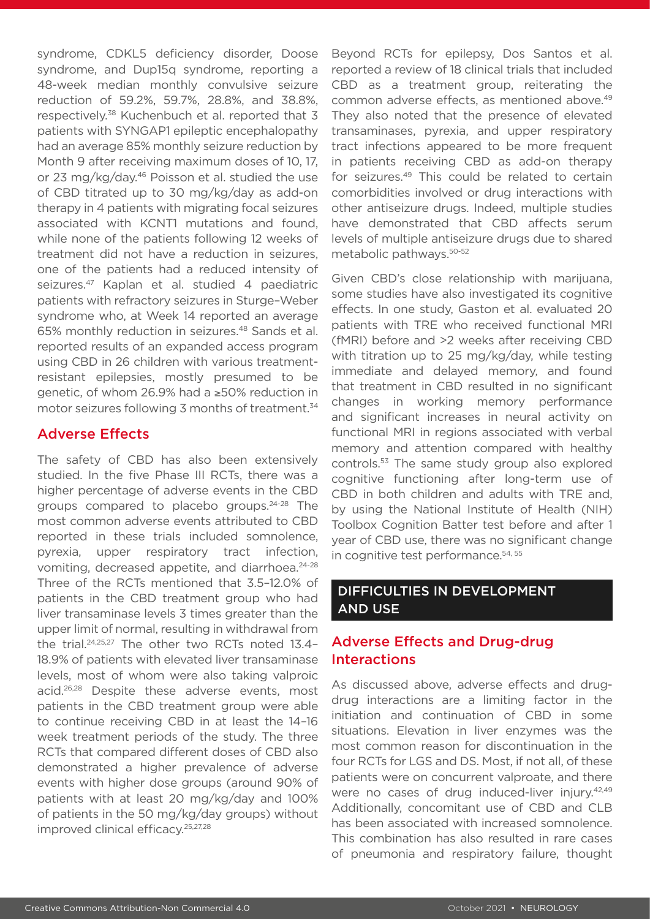syndrome, CDKL5 deficiency disorder, Doose syndrome, and Dup15q syndrome, reporting a 48-week median monthly convulsive seizure reduction of 59.2%, 59.7%, 28.8%, and 38.8%, respectively.38 Kuchenbuch et al. reported that 3 patients with SYNGAP1 epileptic encephalopathy had an average 85% monthly seizure reduction by Month 9 after receiving maximum doses of 10, 17, or 23 mg/kg/day.46 Poisson et al. studied the use of CBD titrated up to 30 mg/kg/day as add-on therapy in 4 patients with migrating focal seizures associated with KCNT1 mutations and found, while none of the patients following 12 weeks of treatment did not have a reduction in seizures, one of the patients had a reduced intensity of seizures.47 Kaplan et al. studied 4 paediatric patients with refractory seizures in Sturge–Weber syndrome who, at Week 14 reported an average 65% monthly reduction in seizures.48 Sands et al. reported results of an expanded access program using CBD in 26 children with various treatmentresistant epilepsies, mostly presumed to be genetic, of whom 26.9% had a ≥50% reduction in motor seizures following 3 months of treatment.<sup>34</sup>

## Adverse Effects

The safety of CBD has also been extensively studied. In the five Phase III RCTs, there was a higher percentage of adverse events in the CBD groups compared to placebo groups.24-28 The most common adverse events attributed to CBD reported in these trials included somnolence, pyrexia, upper respiratory tract infection, vomiting, decreased appetite, and diarrhoea.<sup>24-28</sup> Three of the RCTs mentioned that 3.5–12.0% of patients in the CBD treatment group who had liver transaminase levels 3 times greater than the upper limit of normal, resulting in withdrawal from the trial.24,25,27 The other two RCTs noted 13.4– 18.9% of patients with elevated liver transaminase levels, most of whom were also taking valproic acid.26,28 Despite these adverse events, most patients in the CBD treatment group were able to continue receiving CBD in at least the 14–16 week treatment periods of the study. The three RCTs that compared different doses of CBD also demonstrated a higher prevalence of adverse events with higher dose groups (around 90% of patients with at least 20 mg/kg/day and 100% of patients in the 50 mg/kg/day groups) without improved clinical efficacy.<sup>25,27,28</sup>

Beyond RCTs for epilepsy, Dos Santos et al. reported a review of 18 clinical trials that included CBD as a treatment group, reiterating the common adverse effects, as mentioned above.<sup>49</sup> They also noted that the presence of elevated transaminases, pyrexia, and upper respiratory tract infections appeared to be more frequent in patients receiving CBD as add-on therapy for seizures.49 This could be related to certain comorbidities involved or drug interactions with other antiseizure drugs. Indeed, multiple studies have demonstrated that CBD affects serum levels of multiple antiseizure drugs due to shared metabolic pathways.50-52

Given CBD's close relationship with marijuana, some studies have also investigated its cognitive effects. In one study, Gaston et al. evaluated 20 patients with TRE who received functional MRI (fMRI) before and >2 weeks after receiving CBD with titration up to 25 mg/kg/day, while testing immediate and delayed memory, and found that treatment in CBD resulted in no significant changes in working memory performance and significant increases in neural activity on functional MRI in regions associated with verbal memory and attention compared with healthy controls.53 The same study group also explored cognitive functioning after long-term use of CBD in both children and adults with TRE and, by using the National Institute of Health (NIH) Toolbox Cognition Batter test before and after 1 year of CBD use, there was no significant change in cognitive test performance.<sup>54, 55</sup>

## DIFFICULTIES IN DEVELOPMENT AND USE

## Adverse Effects and Drug-drug Interactions

As discussed above, adverse effects and drugdrug interactions are a limiting factor in the initiation and continuation of CBD in some situations. Elevation in liver enzymes was the most common reason for discontinuation in the four RCTs for LGS and DS. Most, if not all, of these patients were on concurrent valproate, and there were no cases of drug induced-liver injury.<sup>42,49</sup> Additionally, concomitant use of CBD and CLB has been associated with increased somnolence. This combination has also resulted in rare cases of pneumonia and respiratory failure, thought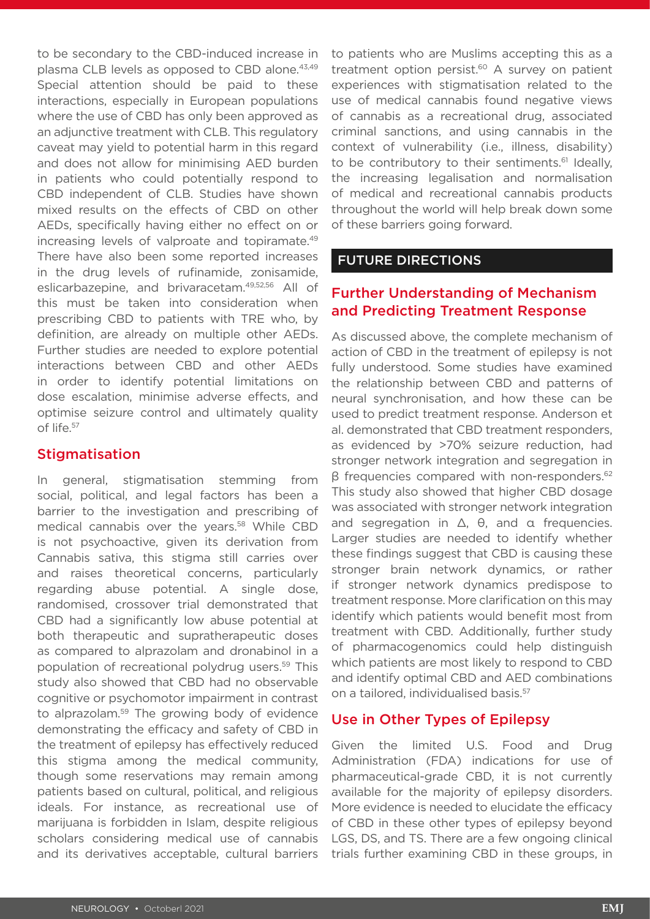to be secondary to the CBD-induced increase in plasma CLB levels as opposed to CBD alone.<sup>43,49</sup> Special attention should be paid to these interactions, especially in European populations where the use of CBD has only been approved as an adjunctive treatment with CLB. This regulatory caveat may yield to potential harm in this regard and does not allow for minimising AED burden in patients who could potentially respond to CBD independent of CLB. Studies have shown mixed results on the effects of CBD on other AEDs, specifically having either no effect on or increasing levels of valproate and topiramate.49 There have also been some reported increases in the drug levels of rufinamide, zonisamide, eslicarbazepine, and brivaracetam.49,52,56 All of this must be taken into consideration when prescribing CBD to patients with TRE who, by definition, are already on multiple other AEDs. Further studies are needed to explore potential interactions between CBD and other AEDs in order to identify potential limitations on dose escalation, minimise adverse effects, and optimise seizure control and ultimately quality of life.57

#### **Stigmatisation**

In general, stigmatisation stemming from social, political, and legal factors has been a barrier to the investigation and prescribing of medical cannabis over the years.58 While CBD is not psychoactive, given its derivation from Cannabis sativa, this stigma still carries over and raises theoretical concerns, particularly regarding abuse potential. A single dose, randomised, crossover trial demonstrated that CBD had a significantly low abuse potential at both therapeutic and supratherapeutic doses as compared to alprazolam and dronabinol in a population of recreational polydrug users.<sup>59</sup> This study also showed that CBD had no observable cognitive or psychomotor impairment in contrast to alprazolam.59 The growing body of evidence demonstrating the efficacy and safety of CBD in the treatment of epilepsy has effectively reduced this stigma among the medical community, though some reservations may remain among patients based on cultural, political, and religious ideals. For instance, as recreational use of marijuana is forbidden in Islam, despite religious scholars considering medical use of cannabis and its derivatives acceptable, cultural barriers

to patients who are Muslims accepting this as a treatment option persist. $60$  A survey on patient experiences with stigmatisation related to the use of medical cannabis found negative views of cannabis as a recreational drug, associated criminal sanctions, and using cannabis in the context of vulnerability (i.e., illness, disability) to be contributory to their sentiments.<sup>61</sup> Ideally, the increasing legalisation and normalisation of medical and recreational cannabis products throughout the world will help break down some of these barriers going forward.

## FUTURE DIRECTIONS

## Further Understanding of Mechanism and Predicting Treatment Response

As discussed above, the complete mechanism of action of CBD in the treatment of epilepsy is not fully understood. Some studies have examined the relationship between CBD and patterns of neural synchronisation, and how these can be used to predict treatment response. Anderson et al. demonstrated that CBD treatment responders, as evidenced by >70% seizure reduction, had stronger network integration and segregation in β frequencies compared with non-responders.62 This study also showed that higher CBD dosage was associated with stronger network integration and segregation in Δ, θ, and α frequencies. Larger studies are needed to identify whether these findings suggest that CBD is causing these stronger brain network dynamics, or rather if stronger network dynamics predispose to treatment response. More clarification on this may identify which patients would benefit most from treatment with CBD. Additionally, further study of pharmacogenomics could help distinguish which patients are most likely to respond to CBD and identify optimal CBD and AED combinations on a tailored, individualised basis.<sup>57</sup>

#### Use in Other Types of Epilepsy

Given the limited U.S. Food and Drug Administration (FDA) indications for use of pharmaceutical-grade CBD, it is not currently available for the majority of epilepsy disorders. More evidence is needed to elucidate the efficacy of CBD in these other types of epilepsy beyond LGS, DS, and TS. There are a few ongoing clinical trials further examining CBD in these groups, in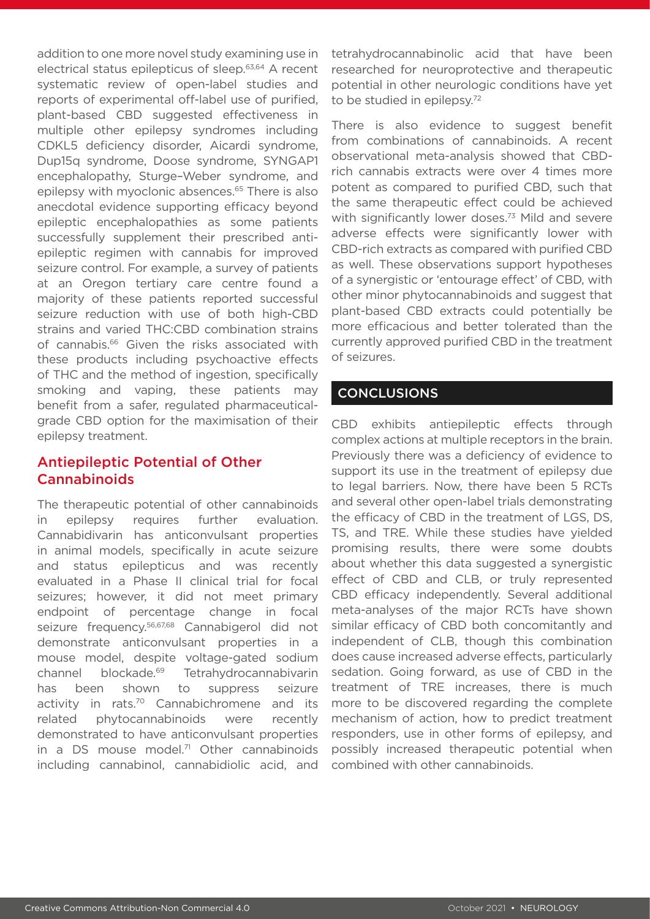addition to one more novel study examining use in electrical status epilepticus of sleep.63,64 A recent systematic review of open-label studies and reports of experimental off-label use of purified, plant-based CBD suggested effectiveness in multiple other epilepsy syndromes including CDKL5 deficiency disorder, Aicardi syndrome, Dup15q syndrome, Doose syndrome, SYNGAP1 encephalopathy, Sturge–Weber syndrome, and epilepsy with myoclonic absences.65 There is also anecdotal evidence supporting efficacy beyond epileptic encephalopathies as some patients successfully supplement their prescribed antiepileptic regimen with cannabis for improved seizure control. For example, a survey of patients at an Oregon tertiary care centre found a majority of these patients reported successful seizure reduction with use of both high-CBD strains and varied THC:CBD combination strains of cannabis.<sup>66</sup> Given the risks associated with these products including psychoactive effects of THC and the method of ingestion, specifically smoking and vaping, these patients may benefit from a safer, regulated pharmaceuticalgrade CBD option for the maximisation of their epilepsy treatment.

## Antiepileptic Potential of Other Cannabinoids

The therapeutic potential of other cannabinoids in epilepsy requires further evaluation. Cannabidivarin has anticonvulsant properties in animal models, specifically in acute seizure and status epilepticus and was recently evaluated in a Phase II clinical trial for focal seizures; however, it did not meet primary endpoint of percentage change in focal seizure frequency.56,67,68 Cannabigerol did not demonstrate anticonvulsant properties in a mouse model, despite voltage-gated sodium channel blockade.69 Tetrahydrocannabivarin has been shown to suppress seizure activity in rats.<sup>70</sup> Cannabichromene and its related phytocannabinoids were recently demonstrated to have anticonvulsant properties in a DS mouse model. $71$  Other cannabinoids including cannabinol, cannabidiolic acid, and

tetrahydrocannabinolic acid that have been researched for neuroprotective and therapeutic potential in other neurologic conditions have yet to be studied in epilepsy.<sup>72</sup>

There is also evidence to suggest benefit from combinations of cannabinoids. A recent observational meta-analysis showed that CBDrich cannabis extracts were over 4 times more potent as compared to purified CBD, such that the same therapeutic effect could be achieved with significantly lower doses.<sup>73</sup> Mild and severe adverse effects were significantly lower with CBD-rich extracts as compared with purified CBD as well. These observations support hypotheses of a synergistic or 'entourage effect' of CBD, with other minor phytocannabinoids and suggest that plant-based CBD extracts could potentially be more efficacious and better tolerated than the currently approved purified CBD in the treatment of seizures.

## **CONCLUSIONS**

CBD exhibits antiepileptic effects through complex actions at multiple receptors in the brain. Previously there was a deficiency of evidence to support its use in the treatment of epilepsy due to legal barriers. Now, there have been 5 RCTs and several other open-label trials demonstrating the efficacy of CBD in the treatment of LGS, DS, TS, and TRE. While these studies have yielded promising results, there were some doubts about whether this data suggested a synergistic effect of CBD and CLB, or truly represented CBD efficacy independently. Several additional meta-analyses of the major RCTs have shown similar efficacy of CBD both concomitantly and independent of CLB, though this combination does cause increased adverse effects, particularly sedation. Going forward, as use of CBD in the treatment of TRE increases, there is much more to be discovered regarding the complete mechanism of action, how to predict treatment responders, use in other forms of epilepsy, and possibly increased therapeutic potential when combined with other cannabinoids.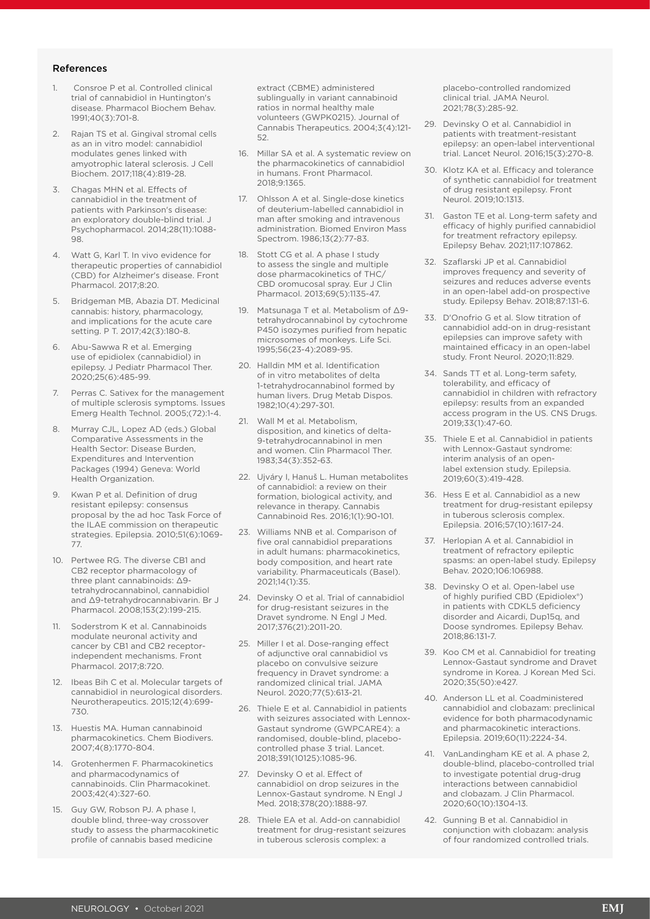#### References

- 1. Consroe P et al. Controlled clinical trial of cannabidiol in Huntington's disease. Pharmacol Biochem Behav. 1991;40(3):701-8.
- 2. Rajan TS et al. Gingival stromal cells as an in vitro model: cannabidiol modulates genes linked with amyotrophic lateral sclerosis. J Cell Biochem. 2017;118(4):819-28.
- 3. Chagas MHN et al. Effects of cannabidiol in the treatment of patients with Parkinson's disease: an exploratory double-blind trial. J Psychopharmacol. 2014;28(11):1088- 98.
- 4. Watt G, Karl T. In vivo evidence for therapeutic properties of cannabidiol (CBD) for Alzheimer's disease. Front Pharmacol. 2017;8:20.
- 5. Bridgeman MB, Abazia DT. Medicinal cannabis: history, pharmacology, and implications for the acute care setting. P T. 2017;42(3):180-8.
- 6. Abu-Sawwa R et al. Emerging use of epidiolex (cannabidiol) in epilepsy. J Pediatr Pharmacol Ther. 2020;25(6):485-99.
- 7. Perras C. Sativex for the management of multiple sclerosis symptoms. Issues Emerg Health Technol. 2005;(72):1-4.
- 8. Murray CJL, Lopez AD (eds.) Global Comparative Assessments in the Health Sector: Disease Burden, Expenditures and Intervention Packages (1994) Geneva: World Health Organization.
- 9. Kwan P et al. Definition of drug resistant epilepsy: consensus proposal by the ad hoc Task Force of the ILAE commission on therapeutic strategies. Epilepsia. 2010;51(6):1069- 77.
- 10. Pertwee RG. The diverse CB1 and CB2 receptor pharmacology of three plant cannabinoids: Δ9 tetrahydrocannabinol, cannabidiol and Δ9-tetrahydrocannabivarin. Br J Pharmacol. 2008;153(2):199-215.
- 11. Soderstrom K et al. Cannabinoids modulate neuronal activity and cancer by CB1 and CB2 receptorindependent mechanisms. Front Pharmacol. 2017;8:720.
- 12. Ibeas Bih C et al. Molecular targets of cannabidiol in neurological disorders. Neurotherapeutics. 2015;12(4):699- 730.
- 13. Huestis MA. Human cannabinoid pharmacokinetics. Chem Biodivers. 2007;4(8):1770-804.
- 14. Grotenhermen F. Pharmacokinetics and pharmacodynamics of cannabinoids. Clin Pharmacokinet. 2003;42(4):327-60.
- 15. Guy GW, Robson PJ. A phase I, double blind, three-way crossover study to assess the pharmacokinetic profile of cannabis based medicine

extract (CBME) administered sublingually in variant cannabinoid ratios in normal healthy male volunteers (GWPK0215). Journal of Cannabis Therapeutics. 2004;3(4):121- 52.

- 16. Millar SA et al. A systematic review on the pharmacokinetics of cannabidiol in humans. Front Pharmacol. 2018;9:1365.
- 17. Ohlsson A et al. Single-dose kinetics of deuterium-labelled cannabidiol in man after smoking and intravenous administration. Biomed Environ Mass Spectrom. 1986;13(2):77-83.
- 18. Stott CG et al. A phase I study to assess the single and multiple dose pharmacokinetics of THC/ CBD oromucosal spray. Eur J Clin Pharmacol. 2013;69(5):1135-47.
- 19. Matsunaga T et al. Metabolism of Δ9 tetrahydrocannabinol by cytochrome P450 isozymes purified from hepatic microsomes of monkeys. Life Sci. 1995;56(23-4):2089-95.
- 20. Halldin MM et al. Identification of in vitro metabolites of delta 1-tetrahydrocannabinol formed by human livers. Drug Metab Dispos. 1982;10(4):297-301.
- 21. Wall M et al. Metabolism, disposition, and kinetics of delta-9-tetrahydrocannabinol in men and women. Clin Pharmacol Ther. 1983;34(3):352-63.
- 22. Ujváry I, Hanuš L. Human metabolites of cannabidiol: a review on their formation, biological activity, and relevance in therapy. Cannabis Cannabinoid Res. 2016;1(1):90-101.
- 23. Williams NNB et al. Comparison of five oral cannabidiol preparations in adult humans: pharmacokinetics, body composition, and heart rate variability. Pharmaceuticals (Basel). 2021;14(1):35.
- 24. Devinsky O et al. Trial of cannabidiol for drug-resistant seizures in the Dravet syndrome. N Engl J Med. 2017;376(21):2011-20.
- 25. Miller I et al. Dose-ranging effect of adjunctive oral cannabidiol vs placebo on convulsive seizure frequency in Dravet syndrome: a randomized clinical trial. JAMA Neurol. 2020;77(5):613-21.
- 26. Thiele E et al. Cannabidiol in patients with seizures associated with Lennox-Gastaut syndrome (GWPCARE4): a randomised, double-blind, placebocontrolled phase 3 trial. Lancet. 2018;391(10125):1085-96.
- 27. Devinsky O et al. Effect of cannabidiol on drop seizures in the Lennox-Gastaut syndrome. N Engl J Med. 2018;378(20):1888-97.
- 28. Thiele EA et al. Add-on cannabidiol treatment for drug-resistant seizures in tuberous sclerosis complex: a

placebo-controlled randomized clinical trial. JAMA Neurol. 2021;78(3):285-92.

- 29. Devinsky O et al. Cannabidiol in patients with treatment-resistant epilepsy: an open-label interventional trial. Lancet Neurol. 2016;15(3):270-8.
- 30. Klotz KA et al. Efficacy and tolerance of synthetic cannabidiol for treatment of drug resistant epilepsy. Front Neurol. 2019;10:1313.
- 31. Gaston TE et al. Long-term safety and efficacy of highly purified cannabidiol for treatment refractory epilepsy. Epilepsy Behav. 2021;117:107862.
- 32. Szaflarski JP et al. Cannabidiol improves frequency and severity of seizures and reduces adverse events in an open-label add-on prospective study. Epilepsy Behav. 2018;87:131-6.
- 33. D'Onofrio G et al. Slow titration of cannabidiol add-on in drug-resistant epilepsies can improve safety with maintained efficacy in an open-label study. Front Neurol. 2020;11:829.
- 34. Sands TT et al. Long-term safety, tolerability, and efficacy of cannabidiol in children with refractory epilepsy: results from an expanded access program in the US. CNS Drugs. 2019;33(1):47-60.
- 35. Thiele E et al. Cannabidiol in patients with Lennox-Gastaut syndrome: interim analysis of an openlabel extension study. Epilepsia. 2019;60(3):419-428.
- 36. Hess E et al. Cannabidiol as a new treatment for drug-resistant epilepsy in tuberous sclerosis complex. Epilepsia. 2016;57(10):1617-24.
- 37. Herlopian A et al. Cannabidiol in treatment of refractory epileptic spasms: an open-label study. Epilepsy Behav. 2020;106:106988.
- 38. Devinsky O et al. Open-label use of highly purified CBD (Epidiolex®) in patients with CDKL5 deficiency disorder and Aicardi, Dup15q, and Doose syndromes. Epilepsy Behav. 2018;86:131-7.
- 39. Koo CM et al. Cannabidiol for treating Lennox-Gastaut syndrome and Dravet syndrome in Korea. J Korean Med Sci. 2020;35(50):e427.
- 40. Anderson LL et al. Coadministered cannabidiol and clobazam: preclinical evidence for both pharmacodynamic and pharmacokinetic interactions. Epilepsia. 2019;60(11):2224-34.
- 41. VanLandingham KE et al. A phase 2, double-blind, placebo-controlled trial to investigate potential drug-drug interactions between cannabidiol and clobazam. J Clin Pharmacol. 2020;60(10):1304-13.
- 42. Gunning B et al. Cannabidiol in conjunction with clobazam: analysis of four randomized controlled trials.